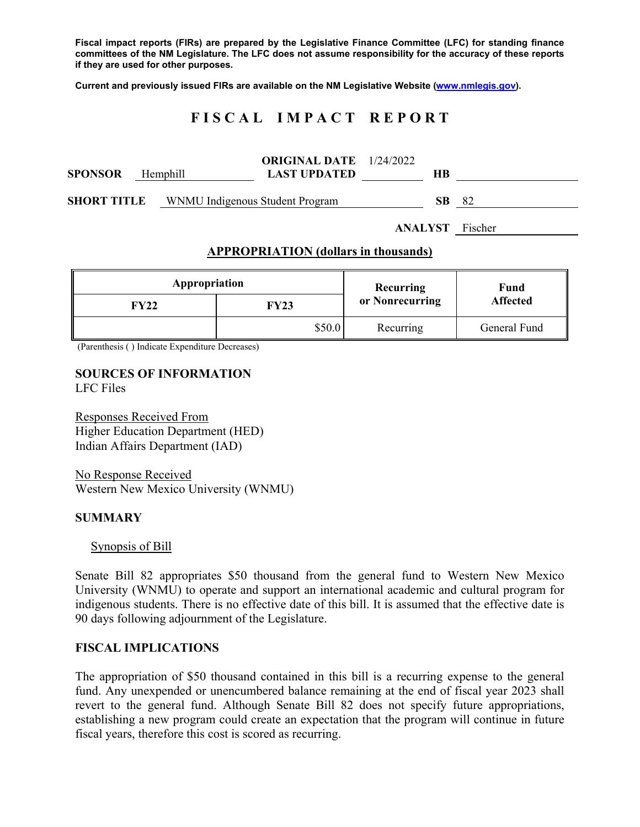**Fiscal impact reports (FIRs) are prepared by the Legislative Finance Committee (LFC) for standing finance committees of the NM Legislature. The LFC does not assume responsibility for the accuracy of these reports if they are used for other purposes.** 

**Current and previously issued FIRs are available on the NM Legislative Website (www.nmlegis.gov).** 

# **F I S C A L I M P A C T R E P O R T**

| <b>SPONSOR</b>     | Hemphill                        | <b>ORIGINAL DATE</b> 1/24/2022<br><b>LAST UPDATED</b> | HВ  |    |
|--------------------|---------------------------------|-------------------------------------------------------|-----|----|
| <b>SHORT TITLE</b> | WNMU Indigenous Student Program |                                                       | SB. | 82 |

**ANALYST** Fischer

## **APPROPRIATION (dollars in thousands)**

| Appropriation |        | <b>Recurring</b> | Fund<br><b>Affected</b> |  |
|---------------|--------|------------------|-------------------------|--|
| FY22          | FY23   | or Nonrecurring  |                         |  |
|               | \$50.0 | Recurring        | General Fund            |  |

(Parenthesis ( ) Indicate Expenditure Decreases)

## **SOURCES OF INFORMATION**  LFC Files

Responses Received From Higher Education Department (HED) Indian Affairs Department (IAD)

No Response Received Western New Mexico University (WNMU)

#### **SUMMARY**

Synopsis of Bill

Senate Bill 82 appropriates \$50 thousand from the general fund to Western New Mexico University (WNMU) to operate and support an international academic and cultural program for indigenous students. There is no effective date of this bill. It is assumed that the effective date is 90 days following adjournment of the Legislature.

#### **FISCAL IMPLICATIONS**

The appropriation of \$50 thousand contained in this bill is a recurring expense to the general fund. Any unexpended or unencumbered balance remaining at the end of fiscal year 2023 shall revert to the general fund. Although Senate Bill 82 does not specify future appropriations, establishing a new program could create an expectation that the program will continue in future fiscal years, therefore this cost is scored as recurring.